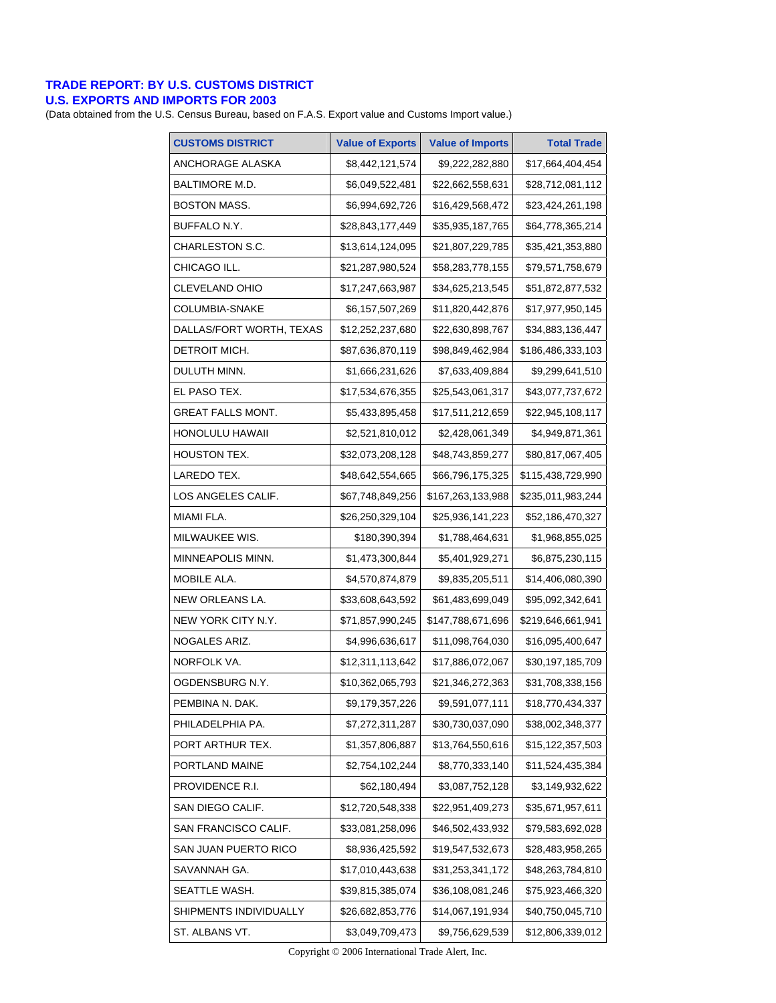## **TRADE REPORT: BY U.S. CUSTOMS DISTRICT**

## **U.S. EXPORTS AND IMPORTS FOR 2003**

(Data obtained from the U.S. Census Bureau, based on F.A.S. Export value and Customs Import value.)

| <b>CUSTOMS DISTRICT</b>  | <b>Value of Exports</b> | <b>Value of Imports</b> | <b>Total Trade</b> |
|--------------------------|-------------------------|-------------------------|--------------------|
| ANCHORAGE ALASKA         | \$8,442,121,574         | \$9,222,282,880         | \$17,664,404,454   |
| BALTIMORE M.D.           | \$6,049,522,481         | \$22,662,558,631        | \$28,712,081,112   |
| <b>BOSTON MASS.</b>      | \$6,994,692,726         | \$16,429,568,472        | \$23,424,261,198   |
| BUFFALO N.Y.             | \$28,843,177,449        | \$35,935,187,765        | \$64,778,365,214   |
| CHARLESTON S.C.          | \$13,614,124,095        | \$21,807,229,785        | \$35,421,353,880   |
| CHICAGO ILL.             | \$21,287,980,524        | \$58,283,778,155        | \$79,571,758,679   |
| <b>CLEVELAND OHIO</b>    | \$17,247,663,987        | \$34,625,213,545        | \$51,872,877,532   |
| COLUMBIA-SNAKE           | \$6,157,507,269         | \$11,820,442,876        | \$17,977,950,145   |
| DALLAS/FORT WORTH, TEXAS | \$12,252,237,680        | \$22,630,898,767        | \$34,883,136,447   |
| DETROIT MICH.            | \$87,636,870,119        | \$98,849,462,984        | \$186,486,333,103  |
| DULUTH MINN.             | \$1,666,231,626         | \$7,633,409,884         | \$9,299,641,510    |
| EL PASO TEX.             | \$17,534,676,355        | \$25,543,061,317        | \$43,077,737,672   |
| <b>GREAT FALLS MONT.</b> | \$5,433,895,458         | \$17,511,212,659        | \$22,945,108,117   |
| <b>HONOLULU HAWAII</b>   | \$2,521,810,012         | \$2,428,061,349         | \$4,949,871,361    |
| <b>HOUSTON TEX.</b>      | \$32,073,208,128        | \$48,743,859,277        | \$80,817,067,405   |
| LAREDO TEX.              | \$48,642,554,665        | \$66,796,175,325        | \$115,438,729,990  |
| LOS ANGELES CALIF.       | \$67,748,849,256        | \$167,263,133,988       | \$235,011,983,244  |
| MIAMI FLA.               | \$26,250,329,104        | \$25,936,141,223        | \$52,186,470,327   |
| MILWAUKEE WIS.           | \$180,390,394           | \$1,788,464,631         | \$1,968,855,025    |
| MINNEAPOLIS MINN.        | \$1,473,300,844         | \$5,401,929,271         | \$6,875,230,115    |
| MOBILE ALA.              | \$4,570,874,879         | \$9,835,205,511         | \$14,406,080,390   |
| NEW ORLEANS LA.          | \$33,608,643,592        | \$61,483,699,049        | \$95,092,342,641   |
| NEW YORK CITY N.Y.       | \$71,857,990,245        | \$147,788,671,696       | \$219,646,661,941  |
| NOGALES ARIZ.            | \$4,996,636,617         | \$11,098,764,030        | \$16,095,400,647   |
| NORFOLK VA.              | \$12,311,113,642        | \$17,886,072,067        | \$30,197,185,709   |
| OGDENSBURG N.Y.          | \$10,362,065,793        | \$21,346,272,363        | \$31,708,338,156   |
| PEMBINA N. DAK.          | \$9,179,357,226         | \$9,591,077,111         | \$18,770,434,337   |
| PHILADELPHIA PA.         | \$7,272,311,287         | \$30,730,037,090        | \$38,002,348,377   |
| PORT ARTHUR TEX.         | \$1,357,806,887         | \$13,764,550,616        | \$15,122,357,503   |
| PORTLAND MAINE           | \$2,754,102,244         | \$8,770,333,140         | \$11,524,435,384   |
| PROVIDENCE R.I.          | \$62,180,494            | \$3,087,752,128         | \$3,149,932,622    |
| SAN DIEGO CALIF.         | \$12,720,548,338        | \$22,951,409,273        | \$35,671,957,611   |
| SAN FRANCISCO CALIF.     | \$33,081,258,096        | \$46,502,433,932        | \$79,583,692,028   |
| SAN JUAN PUERTO RICO     | \$8,936,425,592         | \$19,547,532,673        | \$28,483,958,265   |
| SAVANNAH GA.             | \$17,010,443,638        | \$31,253,341,172        | \$48,263,784,810   |
| SEATTLE WASH.            | \$39,815,385,074        | \$36,108,081,246        | \$75,923,466,320   |
| SHIPMENTS INDIVIDUALLY   | \$26,682,853,776        | \$14,067,191,934        | \$40,750,045,710   |
| ST. ALBANS VT.           | \$3,049,709,473         | \$9,756,629,539         | \$12,806,339,012   |

Copyright © 2006 International Trade Alert, Inc.